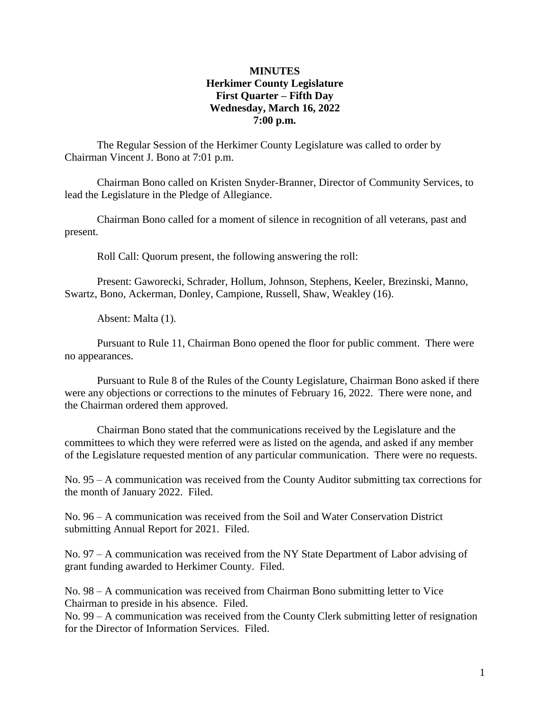### **MINUTES Herkimer County Legislature First Quarter – Fifth Day Wednesday, March 16, 2022 7:00 p.m.**

The Regular Session of the Herkimer County Legislature was called to order by Chairman Vincent J. Bono at 7:01 p.m.

Chairman Bono called on Kristen Snyder-Branner, Director of Community Services, to lead the Legislature in the Pledge of Allegiance.

Chairman Bono called for a moment of silence in recognition of all veterans, past and present.

Roll Call: Quorum present, the following answering the roll:

Present: Gaworecki, Schrader, Hollum, Johnson, Stephens, Keeler, Brezinski, Manno, Swartz, Bono, Ackerman, Donley, Campione, Russell, Shaw, Weakley (16).

Absent: Malta (1).

Pursuant to Rule 11, Chairman Bono opened the floor for public comment. There were no appearances.

Pursuant to Rule 8 of the Rules of the County Legislature, Chairman Bono asked if there were any objections or corrections to the minutes of February 16, 2022. There were none, and the Chairman ordered them approved.

Chairman Bono stated that the communications received by the Legislature and the committees to which they were referred were as listed on the agenda, and asked if any member of the Legislature requested mention of any particular communication. There were no requests.

No. 95 – A communication was received from the County Auditor submitting tax corrections for the month of January 2022. Filed.

No. 96 – A communication was received from the Soil and Water Conservation District submitting Annual Report for 2021. Filed.

No. 97 – A communication was received from the NY State Department of Labor advising of grant funding awarded to Herkimer County. Filed.

No. 98 – A communication was received from Chairman Bono submitting letter to Vice Chairman to preside in his absence. Filed.

No. 99 – A communication was received from the County Clerk submitting letter of resignation for the Director of Information Services. Filed.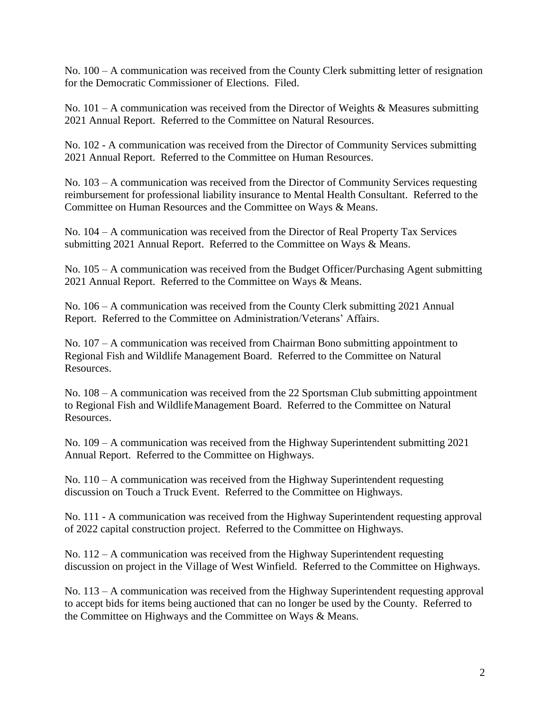No. 100 – A communication was received from the County Clerk submitting letter of resignation for the Democratic Commissioner of Elections. Filed.

No.  $101 - A$  communication was received from the Director of Weights & Measures submitting 2021 Annual Report. Referred to the Committee on Natural Resources.

No. 102 - A communication was received from the Director of Community Services submitting 2021 Annual Report. Referred to the Committee on Human Resources.

No. 103 – A communication was received from the Director of Community Services requesting reimbursement for professional liability insurance to Mental Health Consultant. Referred to the Committee on Human Resources and the Committee on Ways & Means.

No. 104 – A communication was received from the Director of Real Property Tax Services submitting 2021 Annual Report. Referred to the Committee on Ways & Means.

No. 105 – A communication was received from the Budget Officer/Purchasing Agent submitting 2021 Annual Report. Referred to the Committee on Ways & Means.

No. 106 – A communication was received from the County Clerk submitting 2021 Annual Report. Referred to the Committee on Administration/Veterans' Affairs.

No. 107 – A communication was received from Chairman Bono submitting appointment to Regional Fish and Wildlife Management Board. Referred to the Committee on Natural Resources.

No. 108 – A communication was received from the 22 Sportsman Club submitting appointment to Regional Fish and WildlifeManagement Board. Referred to the Committee on Natural Resources.

No. 109 – A communication was received from the Highway Superintendent submitting 2021 Annual Report. Referred to the Committee on Highways.

No. 110 – A communication was received from the Highway Superintendent requesting discussion on Touch a Truck Event. Referred to the Committee on Highways.

No. 111 - A communication was received from the Highway Superintendent requesting approval of 2022 capital construction project. Referred to the Committee on Highways.

No. 112 – A communication was received from the Highway Superintendent requesting discussion on project in the Village of West Winfield. Referred to the Committee on Highways.

No. 113 – A communication was received from the Highway Superintendent requesting approval to accept bids for items being auctioned that can no longer be used by the County. Referred to the Committee on Highways and the Committee on Ways & Means.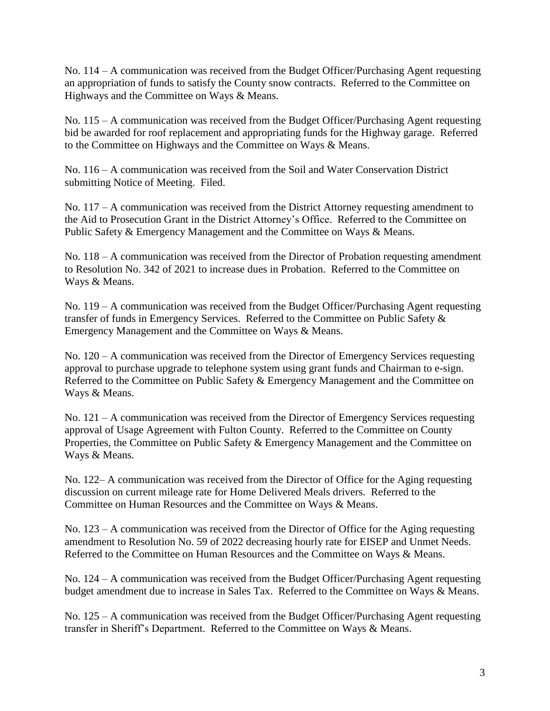No. 114 – A communication was received from the Budget Officer/Purchasing Agent requesting an appropriation of funds to satisfy the County snow contracts. Referred to the Committee on Highways and the Committee on Ways & Means.

No. 115 – A communication was received from the Budget Officer/Purchasing Agent requesting bid be awarded for roof replacement and appropriating funds for the Highway garage. Referred to the Committee on Highways and the Committee on Ways & Means.

No. 116 – A communication was received from the Soil and Water Conservation District submitting Notice of Meeting. Filed.

No. 117 – A communication was received from the District Attorney requesting amendment to the Aid to Prosecution Grant in the District Attorney's Office. Referred to the Committee on Public Safety & Emergency Management and the Committee on Ways & Means.

No. 118 – A communication was received from the Director of Probation requesting amendment to Resolution No. 342 of 2021 to increase dues in Probation. Referred to the Committee on Ways & Means.

No. 119 – A communication was received from the Budget Officer/Purchasing Agent requesting transfer of funds in Emergency Services. Referred to the Committee on Public Safety & Emergency Management and the Committee on Ways & Means.

No. 120 – A communication was received from the Director of Emergency Services requesting approval to purchase upgrade to telephone system using grant funds and Chairman to e-sign. Referred to the Committee on Public Safety & Emergency Management and the Committee on Ways & Means.

No. 121 – A communication was received from the Director of Emergency Services requesting approval of Usage Agreement with Fulton County. Referred to the Committee on County Properties, the Committee on Public Safety & Emergency Management and the Committee on Ways & Means.

No. 122– A communication was received from the Director of Office for the Aging requesting discussion on current mileage rate for Home Delivered Meals drivers. Referred to the Committee on Human Resources and the Committee on Ways & Means.

No. 123 – A communication was received from the Director of Office for the Aging requesting amendment to Resolution No. 59 of 2022 decreasing hourly rate for EISEP and Unmet Needs. Referred to the Committee on Human Resources and the Committee on Ways & Means.

No. 124 – A communication was received from the Budget Officer/Purchasing Agent requesting budget amendment due to increase in Sales Tax. Referred to the Committee on Ways & Means.

No. 125 – A communication was received from the Budget Officer/Purchasing Agent requesting transfer in Sheriff's Department. Referred to the Committee on Ways & Means.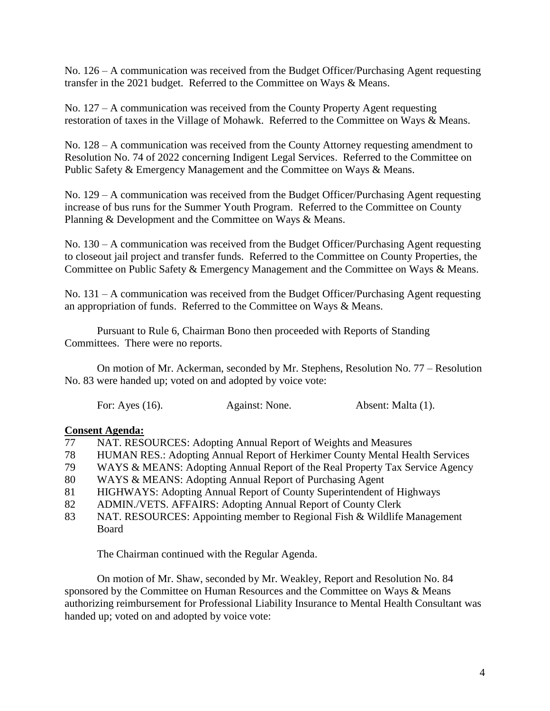No. 126 – A communication was received from the Budget Officer/Purchasing Agent requesting transfer in the 2021 budget. Referred to the Committee on Ways & Means.

No. 127 – A communication was received from the County Property Agent requesting restoration of taxes in the Village of Mohawk. Referred to the Committee on Ways & Means.

No. 128 – A communication was received from the County Attorney requesting amendment to Resolution No. 74 of 2022 concerning Indigent Legal Services. Referred to the Committee on Public Safety & Emergency Management and the Committee on Ways & Means.

No. 129 – A communication was received from the Budget Officer/Purchasing Agent requesting increase of bus runs for the Summer Youth Program. Referred to the Committee on County Planning & Development and the Committee on Ways & Means.

No. 130 – A communication was received from the Budget Officer/Purchasing Agent requesting to closeout jail project and transfer funds. Referred to the Committee on County Properties, the Committee on Public Safety & Emergency Management and the Committee on Ways & Means.

No. 131 – A communication was received from the Budget Officer/Purchasing Agent requesting an appropriation of funds. Referred to the Committee on Ways & Means.

Pursuant to Rule 6, Chairman Bono then proceeded with Reports of Standing Committees. There were no reports.

On motion of Mr. Ackerman, seconded by Mr. Stephens, Resolution No. 77 – Resolution No. 83 were handed up; voted on and adopted by voice vote:

For: Ayes (16). Against: None. Absent: Malta (1).

- **Consent Agenda:**<br>77 **NAT. RES** NAT. RESOURCES: Adopting Annual Report of Weights and Measures
- 78 HUMAN RES.: Adopting Annual Report of Herkimer County Mental Health Services
- 79 WAYS & MEANS: Adopting Annual Report of the Real Property Tax Service Agency
- 80 WAYS & MEANS: Adopting Annual Report of Purchasing Agent
- 81 HIGHWAYS: Adopting Annual Report of County Superintendent of Highways
- 82 ADMIN./VETS. AFFAIRS: Adopting Annual Report of County Clerk
- 83 NAT. RESOURCES: Appointing member to Regional Fish & Wildlife Management Board

The Chairman continued with the Regular Agenda.

On motion of Mr. Shaw, seconded by Mr. Weakley, Report and Resolution No. 84 sponsored by the Committee on Human Resources and the Committee on Ways & Means authorizing reimbursement for Professional Liability Insurance to Mental Health Consultant was handed up; voted on and adopted by voice vote: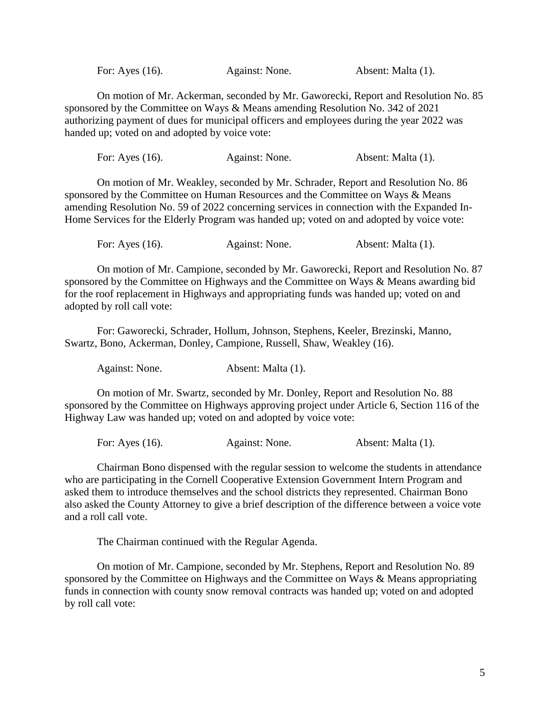For: Ayes (16). Against: None. Absent: Malta (1).

On motion of Mr. Ackerman, seconded by Mr. Gaworecki, Report and Resolution No. 85 sponsored by the Committee on Ways & Means amending Resolution No. 342 of 2021 authorizing payment of dues for municipal officers and employees during the year 2022 was handed up; voted on and adopted by voice vote:

| Absent: Malta (1). |
|--------------------|
|                    |

On motion of Mr. Weakley, seconded by Mr. Schrader, Report and Resolution No. 86 sponsored by the Committee on Human Resources and the Committee on Ways & Means amending Resolution No. 59 of 2022 concerning services in connection with the Expanded In-Home Services for the Elderly Program was handed up; voted on and adopted by voice vote:

For: Ayes (16). Against: None. Absent: Malta (1).

On motion of Mr. Campione, seconded by Mr. Gaworecki, Report and Resolution No. 87 sponsored by the Committee on Highways and the Committee on Ways & Means awarding bid for the roof replacement in Highways and appropriating funds was handed up; voted on and adopted by roll call vote:

For: Gaworecki, Schrader, Hollum, Johnson, Stephens, Keeler, Brezinski, Manno, Swartz, Bono, Ackerman, Donley, Campione, Russell, Shaw, Weakley (16).

Against: None. Absent: Malta (1).

On motion of Mr. Swartz, seconded by Mr. Donley, Report and Resolution No. 88 sponsored by the Committee on Highways approving project under Article 6, Section 116 of the Highway Law was handed up; voted on and adopted by voice vote:

For: Ayes (16). Against: None. Absent: Malta (1).

Chairman Bono dispensed with the regular session to welcome the students in attendance who are participating in the Cornell Cooperative Extension Government Intern Program and asked them to introduce themselves and the school districts they represented. Chairman Bono also asked the County Attorney to give a brief description of the difference between a voice vote and a roll call vote.

The Chairman continued with the Regular Agenda.

On motion of Mr. Campione, seconded by Mr. Stephens, Report and Resolution No. 89 sponsored by the Committee on Highways and the Committee on Ways & Means appropriating funds in connection with county snow removal contracts was handed up; voted on and adopted by roll call vote: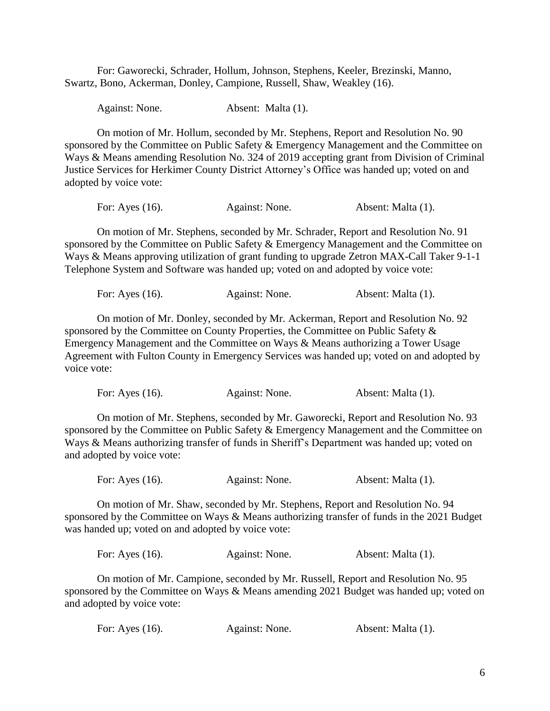For: Gaworecki, Schrader, Hollum, Johnson, Stephens, Keeler, Brezinski, Manno, Swartz, Bono, Ackerman, Donley, Campione, Russell, Shaw, Weakley (16).

| Against: None. | Absent: Malta (1). |  |
|----------------|--------------------|--|
|                |                    |  |

On motion of Mr. Hollum, seconded by Mr. Stephens, Report and Resolution No. 90 sponsored by the Committee on Public Safety & Emergency Management and the Committee on Ways & Means amending Resolution No. 324 of 2019 accepting grant from Division of Criminal Justice Services for Herkimer County District Attorney's Office was handed up; voted on and adopted by voice vote:

```
For: Ayes (16). Against: None. Absent: Malta (1).
```
On motion of Mr. Stephens, seconded by Mr. Schrader, Report and Resolution No. 91 sponsored by the Committee on Public Safety & Emergency Management and the Committee on Ways & Means approving utilization of grant funding to upgrade Zetron MAX-Call Taker 9-1-1 Telephone System and Software was handed up; voted on and adopted by voice vote:

| For: Ayes (16). | Against: None. | Absent: Malta (1). |
|-----------------|----------------|--------------------|
|                 |                |                    |

On motion of Mr. Donley, seconded by Mr. Ackerman, Report and Resolution No. 92 sponsored by the Committee on County Properties, the Committee on Public Safety & Emergency Management and the Committee on Ways & Means authorizing a Tower Usage Agreement with Fulton County in Emergency Services was handed up; voted on and adopted by voice vote:

| For: Ayes $(16)$ . | Against: None. | Absent: Malta (1). |
|--------------------|----------------|--------------------|
|                    |                |                    |

On motion of Mr. Stephens, seconded by Mr. Gaworecki, Report and Resolution No. 93 sponsored by the Committee on Public Safety & Emergency Management and the Committee on Ways & Means authorizing transfer of funds in Sheriff's Department was handed up; voted on and adopted by voice vote:

For: Ayes (16). Against: None. Absent: Malta (1).

On motion of Mr. Shaw, seconded by Mr. Stephens, Report and Resolution No. 94 sponsored by the Committee on Ways & Means authorizing transfer of funds in the 2021 Budget was handed up; voted on and adopted by voice vote:

| For: Ayes (16). | Against: None. | Absent: Malta (1). |
|-----------------|----------------|--------------------|
|                 |                |                    |

On motion of Mr. Campione, seconded by Mr. Russell, Report and Resolution No. 95 sponsored by the Committee on Ways & Means amending 2021 Budget was handed up; voted on and adopted by voice vote:

| For: Ayes (16).<br>Against: None. | Absent: Malta (1). |
|-----------------------------------|--------------------|
|-----------------------------------|--------------------|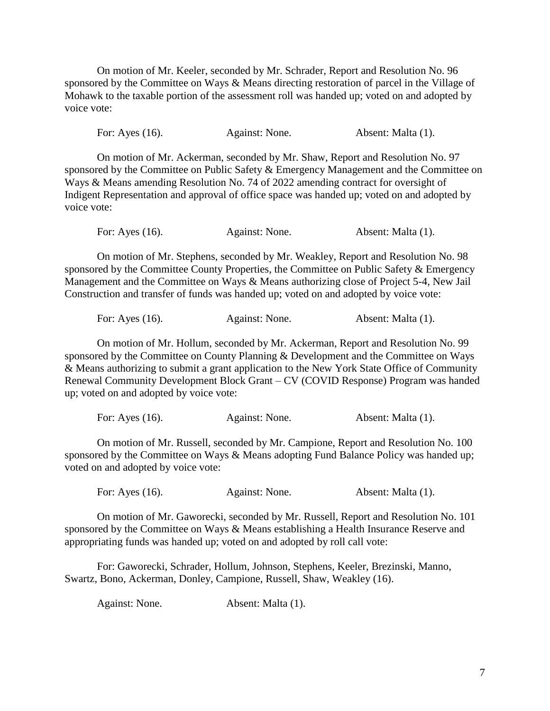On motion of Mr. Keeler, seconded by Mr. Schrader, Report and Resolution No. 96 sponsored by the Committee on Ways & Means directing restoration of parcel in the Village of Mohawk to the taxable portion of the assessment roll was handed up; voted on and adopted by voice vote:

For: Ayes (16). Against: None. Absent: Malta (1).

On motion of Mr. Ackerman, seconded by Mr. Shaw, Report and Resolution No. 97 sponsored by the Committee on Public Safety & Emergency Management and the Committee on Ways & Means amending Resolution No. 74 of 2022 amending contract for oversight of Indigent Representation and approval of office space was handed up; voted on and adopted by voice vote:

For: Ayes (16). Against: None. Absent: Malta (1).

On motion of Mr. Stephens, seconded by Mr. Weakley, Report and Resolution No. 98 sponsored by the Committee County Properties, the Committee on Public Safety & Emergency Management and the Committee on Ways & Means authorizing close of Project 5-4, New Jail Construction and transfer of funds was handed up; voted on and adopted by voice vote:

| For: Ayes $(16)$ . | Against: None. | Absent: Malta (1). |
|--------------------|----------------|--------------------|
|                    |                |                    |

On motion of Mr. Hollum, seconded by Mr. Ackerman, Report and Resolution No. 99 sponsored by the Committee on County Planning & Development and the Committee on Ways & Means authorizing to submit a grant application to the New York State Office of Community Renewal Community Development Block Grant – CV (COVID Response) Program was handed up; voted on and adopted by voice vote:

| For: Ayes (16). | Against: None. | Absent: Malta (1). |
|-----------------|----------------|--------------------|
|                 |                |                    |

On motion of Mr. Russell, seconded by Mr. Campione, Report and Resolution No. 100 sponsored by the Committee on Ways & Means adopting Fund Balance Policy was handed up; voted on and adopted by voice vote:

For: Ayes (16). Against: None. Absent: Malta (1).

On motion of Mr. Gaworecki, seconded by Mr. Russell, Report and Resolution No. 101 sponsored by the Committee on Ways & Means establishing a Health Insurance Reserve and appropriating funds was handed up; voted on and adopted by roll call vote:

For: Gaworecki, Schrader, Hollum, Johnson, Stephens, Keeler, Brezinski, Manno, Swartz, Bono, Ackerman, Donley, Campione, Russell, Shaw, Weakley (16).

Against: None. Absent: Malta (1).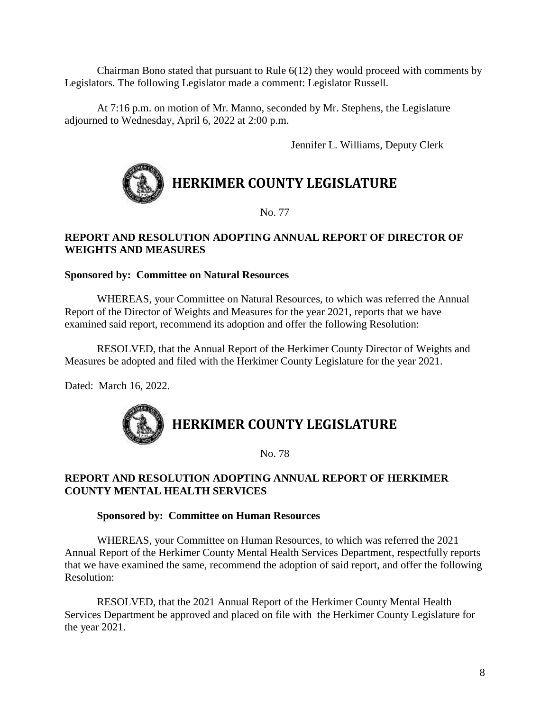Chairman Bono stated that pursuant to Rule 6(12) they would proceed with comments by Legislators. The following Legislator made a comment: Legislator Russell.

At 7:16 p.m. on motion of Mr. Manno, seconded by Mr. Stephens, the Legislature adjourned to Wednesday, April 6, 2022 at 2:00 p.m.

Jennifer L. Williams, Deputy Clerk



# **HERKIMER COUNTY LEGISLATURE**

No. 77

# **REPORT AND RESOLUTION ADOPTING ANNUAL REPORT OF DIRECTOR OF WEIGHTS AND MEASURES**

# **Sponsored by: Committee on Natural Resources**

WHEREAS, your Committee on Natural Resources, to which was referred the Annual Report of the Director of Weights and Measures for the year 2021, reports that we have examined said report, recommend its adoption and offer the following Resolution:

RESOLVED, that the Annual Report of the Herkimer County Director of Weights and Measures be adopted and filed with the Herkimer County Legislature for the year 2021.

Dated: March 16, 2022.



No. 78

# **REPORT AND RESOLUTION ADOPTING ANNUAL REPORT OF HERKIMER COUNTY MENTAL HEALTH SERVICES**

#### **Sponsored by: Committee on Human Resources**

WHEREAS, your Committee on Human Resources, to which was referred the 2021 Annual Report of the Herkimer County Mental Health Services Department, respectfully reports that we have examined the same, recommend the adoption of said report, and offer the following Resolution:

RESOLVED, that the 2021 Annual Report of the Herkimer County Mental Health Services Department be approved and placed on file with the Herkimer County Legislature for the year 2021.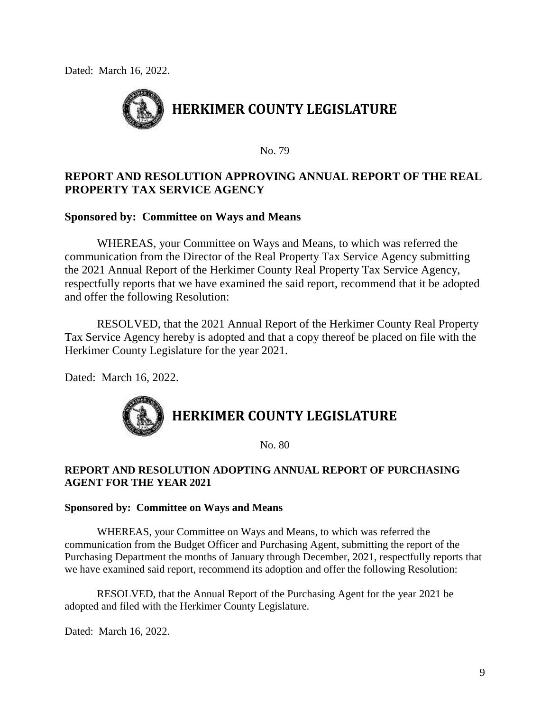Dated: March 16, 2022.



No. 79

# **REPORT AND RESOLUTION APPROVING ANNUAL REPORT OF THE REAL PROPERTY TAX SERVICE AGENCY**

# **Sponsored by: Committee on Ways and Means**

WHEREAS, your Committee on Ways and Means, to which was referred the communication from the Director of the Real Property Tax Service Agency submitting the 2021 Annual Report of the Herkimer County Real Property Tax Service Agency, respectfully reports that we have examined the said report, recommend that it be adopted and offer the following Resolution:

RESOLVED, that the 2021 Annual Report of the Herkimer County Real Property Tax Service Agency hereby is adopted and that a copy thereof be placed on file with the Herkimer County Legislature for the year 2021.

Dated: March 16, 2022.



No. 80

# **REPORT AND RESOLUTION ADOPTING ANNUAL REPORT OF PURCHASING AGENT FOR THE YEAR 2021**

#### **Sponsored by: Committee on Ways and Means**

WHEREAS, your Committee on Ways and Means, to which was referred the communication from the Budget Officer and Purchasing Agent, submitting the report of the Purchasing Department the months of January through December, 2021, respectfully reports that we have examined said report, recommend its adoption and offer the following Resolution:

RESOLVED, that the Annual Report of the Purchasing Agent for the year 2021 be adopted and filed with the Herkimer County Legislature.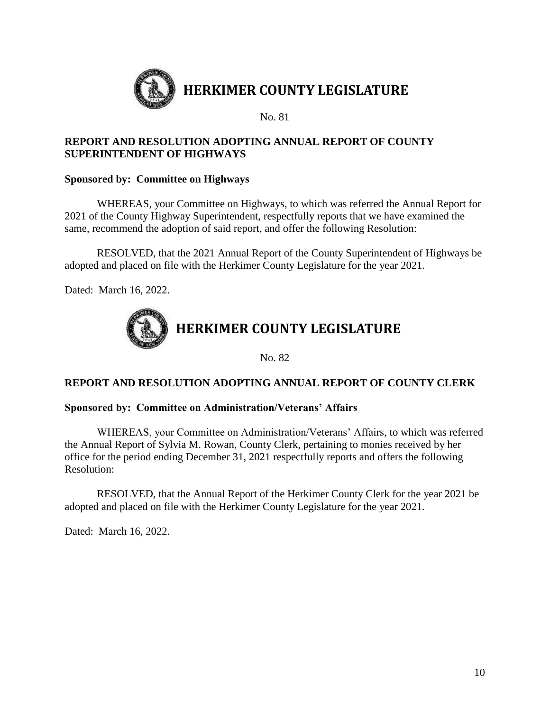

No. 81

# **REPORT AND RESOLUTION ADOPTING ANNUAL REPORT OF COUNTY SUPERINTENDENT OF HIGHWAYS**

# **Sponsored by: Committee on Highways**

WHEREAS, your Committee on Highways, to which was referred the Annual Report for 2021 of the County Highway Superintendent, respectfully reports that we have examined the same, recommend the adoption of said report, and offer the following Resolution:

RESOLVED, that the 2021 Annual Report of the County Superintendent of Highways be adopted and placed on file with the Herkimer County Legislature for the year 2021.

Dated: March 16, 2022.



No. 82

# **REPORT AND RESOLUTION ADOPTING ANNUAL REPORT OF COUNTY CLERK**

#### **Sponsored by: Committee on Administration/Veterans' Affairs**

WHEREAS, your Committee on Administration/Veterans' Affairs, to which was referred the Annual Report of Sylvia M. Rowan, County Clerk, pertaining to monies received by her office for the period ending December 31, 2021 respectfully reports and offers the following Resolution:

RESOLVED, that the Annual Report of the Herkimer County Clerk for the year 2021 be adopted and placed on file with the Herkimer County Legislature for the year 2021.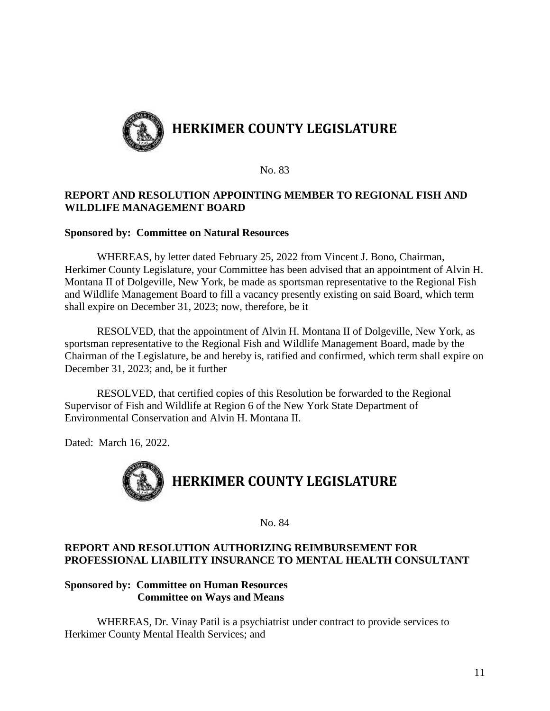

No. 83

# **REPORT AND RESOLUTION APPOINTING MEMBER TO REGIONAL FISH AND WILDLIFE MANAGEMENT BOARD**

### **Sponsored by: Committee on Natural Resources**

WHEREAS, by letter dated February 25, 2022 from Vincent J. Bono, Chairman, Herkimer County Legislature, your Committee has been advised that an appointment of Alvin H. Montana II of Dolgeville, New York, be made as sportsman representative to the Regional Fish and Wildlife Management Board to fill a vacancy presently existing on said Board, which term shall expire on December 31, 2023; now, therefore, be it

RESOLVED, that the appointment of Alvin H. Montana II of Dolgeville, New York, as sportsman representative to the Regional Fish and Wildlife Management Board, made by the Chairman of the Legislature, be and hereby is, ratified and confirmed, which term shall expire on December 31, 2023; and, be it further

RESOLVED, that certified copies of this Resolution be forwarded to the Regional Supervisor of Fish and Wildlife at Region 6 of the New York State Department of Environmental Conservation and Alvin H. Montana II.

Dated: March 16, 2022.



No. 84

# **REPORT AND RESOLUTION AUTHORIZING REIMBURSEMENT FOR PROFESSIONAL LIABILITY INSURANCE TO MENTAL HEALTH CONSULTANT**

#### **Sponsored by: Committee on Human Resources Committee on Ways and Means**

WHEREAS, Dr. Vinay Patil is a psychiatrist under contract to provide services to Herkimer County Mental Health Services; and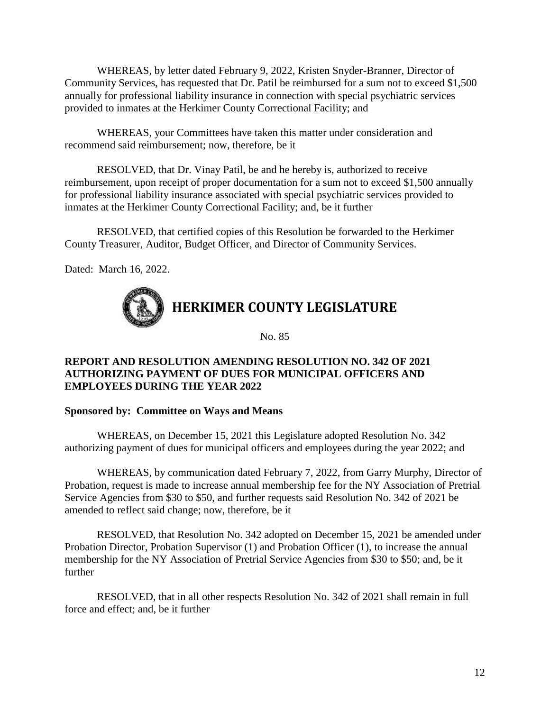WHEREAS, by letter dated February 9, 2022, Kristen Snyder-Branner, Director of Community Services, has requested that Dr. Patil be reimbursed for a sum not to exceed \$1,500 annually for professional liability insurance in connection with special psychiatric services provided to inmates at the Herkimer County Correctional Facility; and

WHEREAS, your Committees have taken this matter under consideration and recommend said reimbursement; now, therefore, be it

RESOLVED, that Dr. Vinay Patil, be and he hereby is, authorized to receive reimbursement, upon receipt of proper documentation for a sum not to exceed \$1,500 annually for professional liability insurance associated with special psychiatric services provided to inmates at the Herkimer County Correctional Facility; and, be it further

RESOLVED, that certified copies of this Resolution be forwarded to the Herkimer County Treasurer, Auditor, Budget Officer, and Director of Community Services.

Dated: March 16, 2022.



No. 85

### **REPORT AND RESOLUTION AMENDING RESOLUTION NO. 342 OF 2021 AUTHORIZING PAYMENT OF DUES FOR MUNICIPAL OFFICERS AND EMPLOYEES DURING THE YEAR 2022**

#### **Sponsored by: Committee on Ways and Means**

WHEREAS, on December 15, 2021 this Legislature adopted Resolution No. 342 authorizing payment of dues for municipal officers and employees during the year 2022; and

WHEREAS, by communication dated February 7, 2022, from Garry Murphy, Director of Probation, request is made to increase annual membership fee for the NY Association of Pretrial Service Agencies from \$30 to \$50, and further requests said Resolution No. 342 of 2021 be amended to reflect said change; now, therefore, be it

RESOLVED, that Resolution No. 342 adopted on December 15, 2021 be amended under Probation Director, Probation Supervisor (1) and Probation Officer (1), to increase the annual membership for the NY Association of Pretrial Service Agencies from \$30 to \$50; and, be it further

RESOLVED, that in all other respects Resolution No. 342 of 2021 shall remain in full force and effect; and, be it further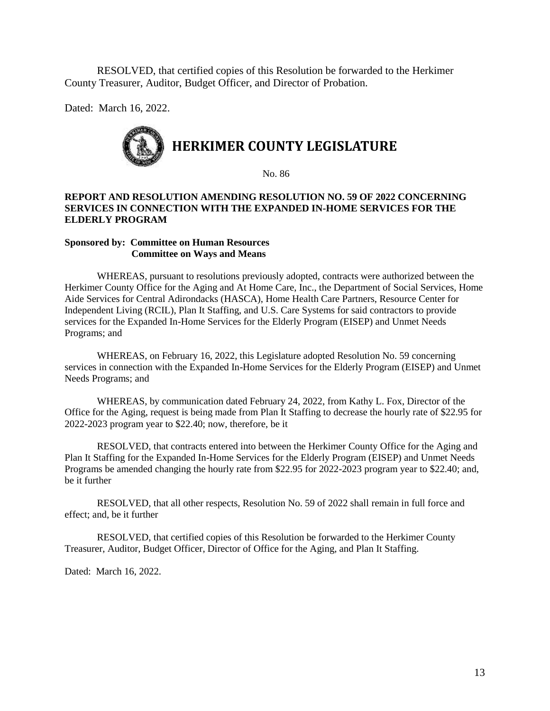RESOLVED, that certified copies of this Resolution be forwarded to the Herkimer County Treasurer, Auditor, Budget Officer, and Director of Probation.

Dated: March 16, 2022.



No. 86

#### **REPORT AND RESOLUTION AMENDING RESOLUTION NO. 59 OF 2022 CONCERNING SERVICES IN CONNECTION WITH THE EXPANDED IN-HOME SERVICES FOR THE ELDERLY PROGRAM**

#### **Sponsored by: Committee on Human Resources Committee on Ways and Means**

WHEREAS, pursuant to resolutions previously adopted, contracts were authorized between the Herkimer County Office for the Aging and At Home Care, Inc., the Department of Social Services, Home Aide Services for Central Adirondacks (HASCA), Home Health Care Partners, Resource Center for Independent Living (RCIL), Plan It Staffing, and U.S. Care Systems for said contractors to provide services for the Expanded In-Home Services for the Elderly Program (EISEP) and Unmet Needs Programs; and

WHEREAS, on February 16, 2022, this Legislature adopted Resolution No. 59 concerning services in connection with the Expanded In-Home Services for the Elderly Program (EISEP) and Unmet Needs Programs; and

WHEREAS, by communication dated February 24, 2022, from Kathy L. Fox, Director of the Office for the Aging, request is being made from Plan It Staffing to decrease the hourly rate of \$22.95 for 2022-2023 program year to \$22.40; now, therefore, be it

RESOLVED, that contracts entered into between the Herkimer County Office for the Aging and Plan It Staffing for the Expanded In-Home Services for the Elderly Program (EISEP) and Unmet Needs Programs be amended changing the hourly rate from \$22.95 for 2022-2023 program year to \$22.40; and, be it further

RESOLVED, that all other respects, Resolution No. 59 of 2022 shall remain in full force and effect; and, be it further

RESOLVED, that certified copies of this Resolution be forwarded to the Herkimer County Treasurer, Auditor, Budget Officer, Director of Office for the Aging, and Plan It Staffing.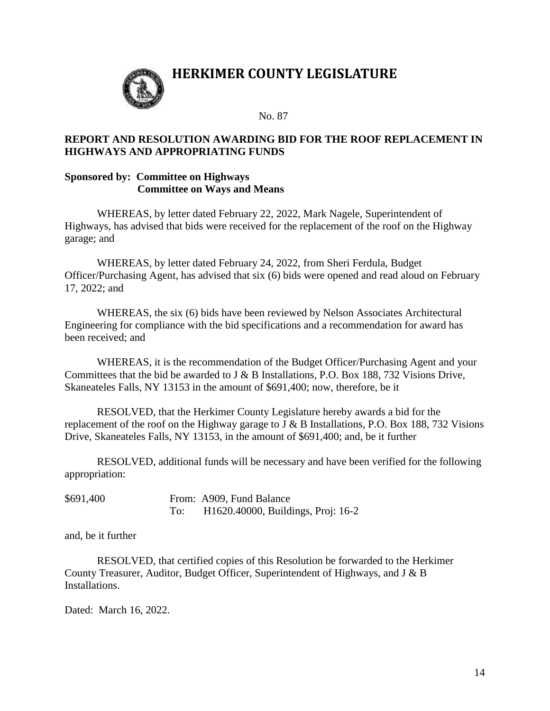

# **HERKIMER COUNTY LEGISLATURE**

No. 87

### **REPORT AND RESOLUTION AWARDING BID FOR THE ROOF REPLACEMENT IN HIGHWAYS AND APPROPRIATING FUNDS**

#### **Sponsored by: Committee on Highways Committee on Ways and Means**

WHEREAS, by letter dated February 22, 2022, Mark Nagele, Superintendent of Highways, has advised that bids were received for the replacement of the roof on the Highway garage; and

WHEREAS, by letter dated February 24, 2022, from Sheri Ferdula, Budget Officer/Purchasing Agent, has advised that six (6) bids were opened and read aloud on February 17, 2022; and

WHEREAS, the six (6) bids have been reviewed by Nelson Associates Architectural Engineering for compliance with the bid specifications and a recommendation for award has been received; and

WHEREAS, it is the recommendation of the Budget Officer/Purchasing Agent and your Committees that the bid be awarded to J & B Installations, P.O. Box 188, 732 Visions Drive, Skaneateles Falls, NY 13153 in the amount of \$691,400; now, therefore, be it

RESOLVED, that the Herkimer County Legislature hereby awards a bid for the replacement of the roof on the Highway garage to J  $\&$  B Installations, P.O. Box 188, 732 Visions Drive, Skaneateles Falls, NY 13153, in the amount of \$691,400; and, be it further

RESOLVED, additional funds will be necessary and have been verified for the following appropriation:

| \$691,400 | From: A909, Fund Balance           |
|-----------|------------------------------------|
|           | H1620.40000, Buildings, Proj: 16-2 |

and, be it further

RESOLVED, that certified copies of this Resolution be forwarded to the Herkimer County Treasurer, Auditor, Budget Officer, Superintendent of Highways, and J & B Installations.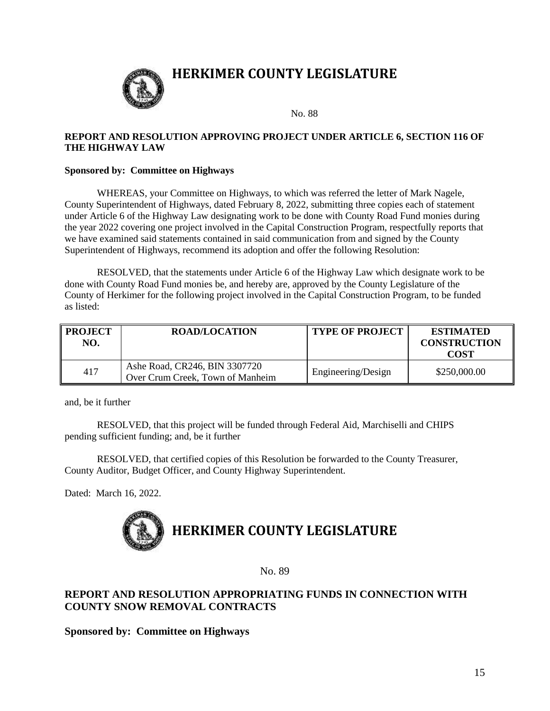

# **HERKIMER COUNTY LEGISLATURE**

No. 88

#### **REPORT AND RESOLUTION APPROVING PROJECT UNDER ARTICLE 6, SECTION 116 OF THE HIGHWAY LAW**

#### **Sponsored by: Committee on Highways**

WHEREAS, your Committee on Highways, to which was referred the letter of Mark Nagele, County Superintendent of Highways, dated February 8, 2022, submitting three copies each of statement under Article 6 of the Highway Law designating work to be done with County Road Fund monies during the year 2022 covering one project involved in the Capital Construction Program, respectfully reports that we have examined said statements contained in said communication from and signed by the County Superintendent of Highways, recommend its adoption and offer the following Resolution:

RESOLVED, that the statements under Article 6 of the Highway Law which designate work to be done with County Road Fund monies be, and hereby are, approved by the County Legislature of the County of Herkimer for the following project involved in the Capital Construction Program, to be funded as listed:

| PROJECT<br>NO. | <b>ROAD/LOCATION</b>                                              | <b>TYPE OF PROJECT</b> | <b>ESTIMATED</b><br><b>CONSTRUCTION</b><br><b>COST</b> |
|----------------|-------------------------------------------------------------------|------------------------|--------------------------------------------------------|
| 417            | Ashe Road, CR246, BIN 3307720<br>Over Crum Creek, Town of Manheim | Engineering/Design     | \$250,000.00                                           |

and, be it further

RESOLVED, that this project will be funded through Federal Aid, Marchiselli and CHIPS pending sufficient funding; and, be it further

RESOLVED, that certified copies of this Resolution be forwarded to the County Treasurer, County Auditor, Budget Officer, and County Highway Superintendent.

Dated: March 16, 2022.



No. 89

#### **REPORT AND RESOLUTION APPROPRIATING FUNDS IN CONNECTION WITH COUNTY SNOW REMOVAL CONTRACTS**

**Sponsored by: Committee on Highways**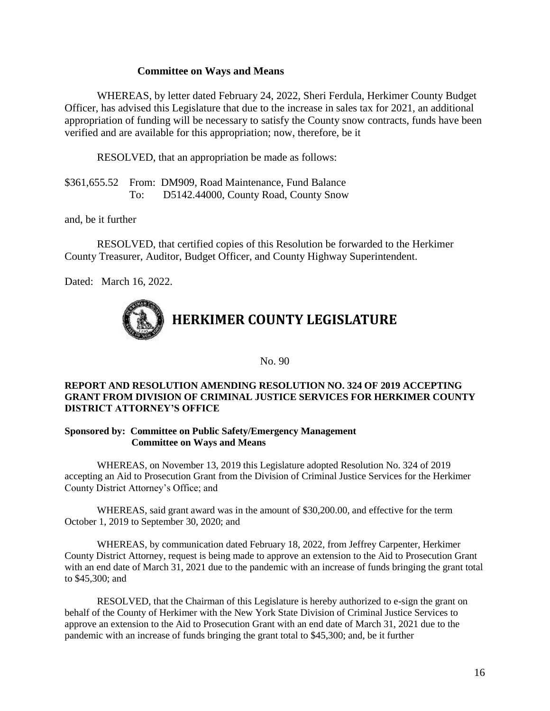#### **Committee on Ways and Means**

WHEREAS, by letter dated February 24, 2022, Sheri Ferdula, Herkimer County Budget Officer, has advised this Legislature that due to the increase in sales tax for 2021, an additional appropriation of funding will be necessary to satisfy the County snow contracts, funds have been verified and are available for this appropriation; now, therefore, be it

RESOLVED, that an appropriation be made as follows:

\$361,655.52 From: DM909, Road Maintenance, Fund Balance To: D5142.44000, County Road, County Snow

and, be it further

RESOLVED, that certified copies of this Resolution be forwarded to the Herkimer County Treasurer, Auditor, Budget Officer, and County Highway Superintendent.

Dated: March 16, 2022.



No. 90

#### **REPORT AND RESOLUTION AMENDING RESOLUTION NO. 324 OF 2019 ACCEPTING GRANT FROM DIVISION OF CRIMINAL JUSTICE SERVICES FOR HERKIMER COUNTY DISTRICT ATTORNEY'S OFFICE**

#### **Sponsored by: Committee on Public Safety/Emergency Management Committee on Ways and Means**

WHEREAS, on November 13, 2019 this Legislature adopted Resolution No. 324 of 2019 accepting an Aid to Prosecution Grant from the Division of Criminal Justice Services for the Herkimer County District Attorney's Office; and

WHEREAS, said grant award was in the amount of \$30,200.00, and effective for the term October 1, 2019 to September 30, 2020; and

WHEREAS, by communication dated February 18, 2022, from Jeffrey Carpenter, Herkimer County District Attorney, request is being made to approve an extension to the Aid to Prosecution Grant with an end date of March 31, 2021 due to the pandemic with an increase of funds bringing the grant total to \$45,300; and

RESOLVED, that the Chairman of this Legislature is hereby authorized to e-sign the grant on behalf of the County of Herkimer with the New York State Division of Criminal Justice Services to approve an extension to the Aid to Prosecution Grant with an end date of March 31, 2021 due to the pandemic with an increase of funds bringing the grant total to \$45,300; and, be it further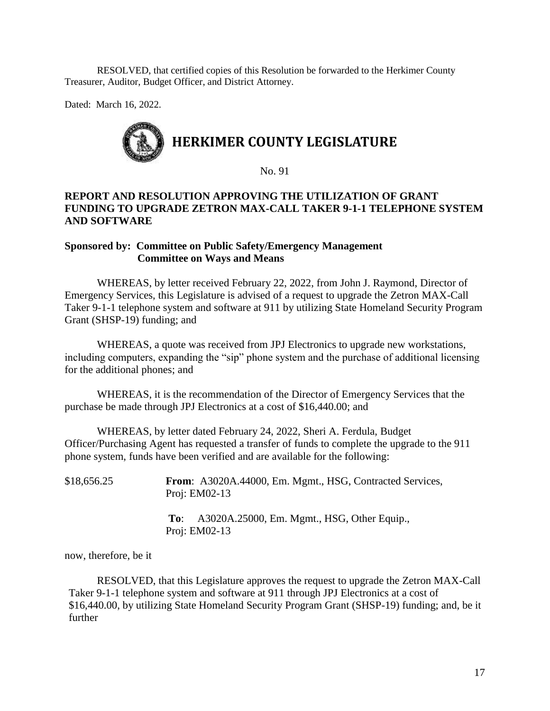RESOLVED, that certified copies of this Resolution be forwarded to the Herkimer County Treasurer, Auditor, Budget Officer, and District Attorney.

Dated: March 16, 2022.



No. 91

### **REPORT AND RESOLUTION APPROVING THE UTILIZATION OF GRANT FUNDING TO UPGRADE ZETRON MAX-CALL TAKER 9-1-1 TELEPHONE SYSTEM AND SOFTWARE**

# **Sponsored by: Committee on Public Safety/Emergency Management Committee on Ways and Means**

WHEREAS, by letter received February 22, 2022, from John J. Raymond, Director of Emergency Services, this Legislature is advised of a request to upgrade the Zetron MAX-Call Taker 9-1-1 telephone system and software at 911 by utilizing State Homeland Security Program Grant (SHSP-19) funding; and

WHEREAS, a quote was received from JPJ Electronics to upgrade new workstations, including computers, expanding the "sip" phone system and the purchase of additional licensing for the additional phones; and

WHEREAS, it is the recommendation of the Director of Emergency Services that the purchase be made through JPJ Electronics at a cost of \$16,440.00; and

WHEREAS, by letter dated February 24, 2022, Sheri A. Ferdula, Budget Officer/Purchasing Agent has requested a transfer of funds to complete the upgrade to the 911 phone system, funds have been verified and are available for the following:

| \$18,656.25 | From: A3020A.44000, Em. Mgmt., HSG, Contracted Services,<br>Proj: $EM02-13$ |
|-------------|-----------------------------------------------------------------------------|
|             | <b>To:</b> A3020A.25000, Em. Mgmt., HSG, Other Equip.,<br>Proj: $EM02-13$   |

now, therefore, be it

RESOLVED, that this Legislature approves the request to upgrade the Zetron MAX-Call Taker 9-1-1 telephone system and software at 911 through JPJ Electronics at a cost of \$16,440.00, by utilizing State Homeland Security Program Grant (SHSP-19) funding; and, be it further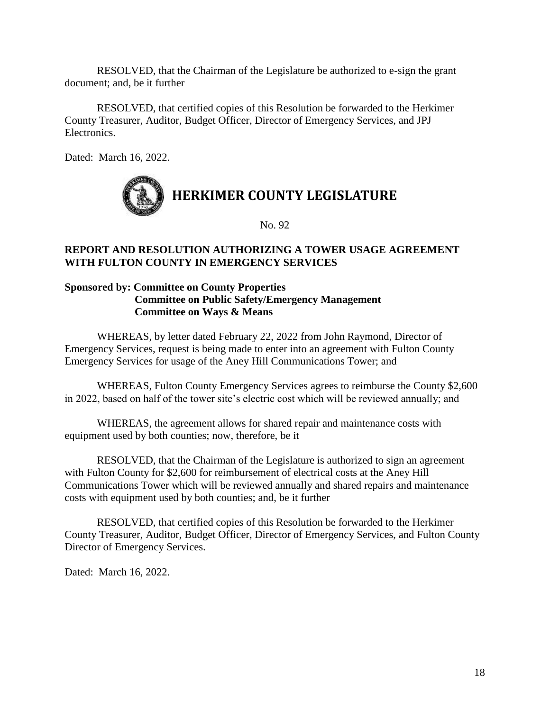RESOLVED, that the Chairman of the Legislature be authorized to e-sign the grant document; and, be it further

RESOLVED, that certified copies of this Resolution be forwarded to the Herkimer County Treasurer, Auditor, Budget Officer, Director of Emergency Services, and JPJ Electronics.

Dated: March 16, 2022.



No. 92

### **REPORT AND RESOLUTION AUTHORIZING A TOWER USAGE AGREEMENT WITH FULTON COUNTY IN EMERGENCY SERVICES**

# **Sponsored by: Committee on County Properties Committee on Public Safety/Emergency Management Committee on Ways & Means**

WHEREAS, by letter dated February 22, 2022 from John Raymond, Director of Emergency Services, request is being made to enter into an agreement with Fulton County Emergency Services for usage of the Aney Hill Communications Tower; and

WHEREAS, Fulton County Emergency Services agrees to reimburse the County \$2,600 in 2022, based on half of the tower site's electric cost which will be reviewed annually; and

WHEREAS, the agreement allows for shared repair and maintenance costs with equipment used by both counties; now, therefore, be it

RESOLVED, that the Chairman of the Legislature is authorized to sign an agreement with Fulton County for \$2,600 for reimbursement of electrical costs at the Aney Hill Communications Tower which will be reviewed annually and shared repairs and maintenance costs with equipment used by both counties; and, be it further

RESOLVED, that certified copies of this Resolution be forwarded to the Herkimer County Treasurer, Auditor, Budget Officer, Director of Emergency Services, and Fulton County Director of Emergency Services.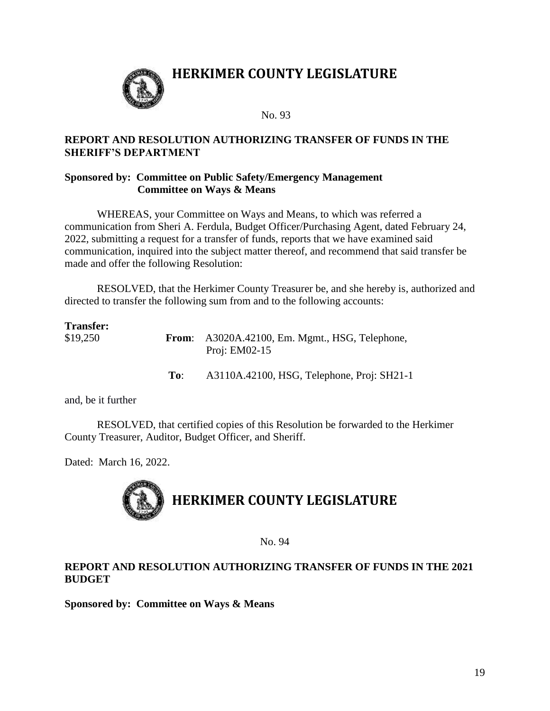**HERKIMER COUNTY LEGISLATURE**



No. 93

# **REPORT AND RESOLUTION AUTHORIZING TRANSFER OF FUNDS IN THE SHERIFF'S DEPARTMENT**

### **Sponsored by: Committee on Public Safety/Emergency Management Committee on Ways & Means**

WHEREAS, your Committee on Ways and Means, to which was referred a communication from Sheri A. Ferdula, Budget Officer/Purchasing Agent, dated February 24, 2022, submitting a request for a transfer of funds, reports that we have examined said communication, inquired into the subject matter thereof, and recommend that said transfer be made and offer the following Resolution:

RESOLVED, that the Herkimer County Treasurer be, and she hereby is, authorized and directed to transfer the following sum from and to the following accounts:

| <b>Transfer:</b><br>\$19,250 |     | From: A3020A.42100, Em. Mgmt., HSG, Telephone,<br>Proj: $EM02-15$ |
|------------------------------|-----|-------------------------------------------------------------------|
|                              | To: | A3110A.42100, HSG, Telephone, Proj: SH21-1                        |

and, be it further

RESOLVED, that certified copies of this Resolution be forwarded to the Herkimer County Treasurer, Auditor, Budget Officer, and Sheriff.

Dated: March 16, 2022.



No. 94

# **REPORT AND RESOLUTION AUTHORIZING TRANSFER OF FUNDS IN THE 2021 BUDGET**

**Sponsored by: Committee on Ways & Means**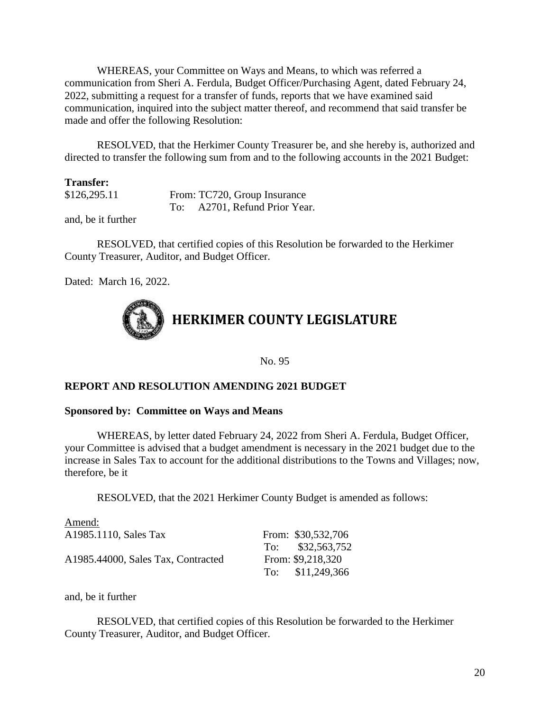WHEREAS, your Committee on Ways and Means, to which was referred a communication from Sheri A. Ferdula, Budget Officer/Purchasing Agent, dated February 24, 2022, submitting a request for a transfer of funds, reports that we have examined said communication, inquired into the subject matter thereof, and recommend that said transfer be made and offer the following Resolution:

RESOLVED, that the Herkimer County Treasurer be, and she hereby is, authorized and directed to transfer the following sum from and to the following accounts in the 2021 Budget:

#### **Transfer:**

| \$126,295.11 | From: TC720, Group Insurance  |
|--------------|-------------------------------|
|              | To: A2701, Refund Prior Year. |

and, be it further

RESOLVED, that certified copies of this Resolution be forwarded to the Herkimer County Treasurer, Auditor, and Budget Officer.

Dated: March 16, 2022.



No. 95

# **REPORT AND RESOLUTION AMENDING 2021 BUDGET**

#### **Sponsored by: Committee on Ways and Means**

WHEREAS, by letter dated February 24, 2022 from Sheri A. Ferdula, Budget Officer, your Committee is advised that a budget amendment is necessary in the 2021 budget due to the increase in Sales Tax to account for the additional distributions to the Towns and Villages; now, therefore, be it

RESOLVED, that the 2021 Herkimer County Budget is amended as follows:

| Amend:                             |                    |
|------------------------------------|--------------------|
| A1985.1110, Sales Tax              | From: \$30,532,706 |
|                                    | To: \$32,563,752   |
| A1985.44000, Sales Tax, Contracted | From: \$9,218,320  |
|                                    | To: $$11,249,366$  |

and, be it further

RESOLVED, that certified copies of this Resolution be forwarded to the Herkimer County Treasurer, Auditor, and Budget Officer.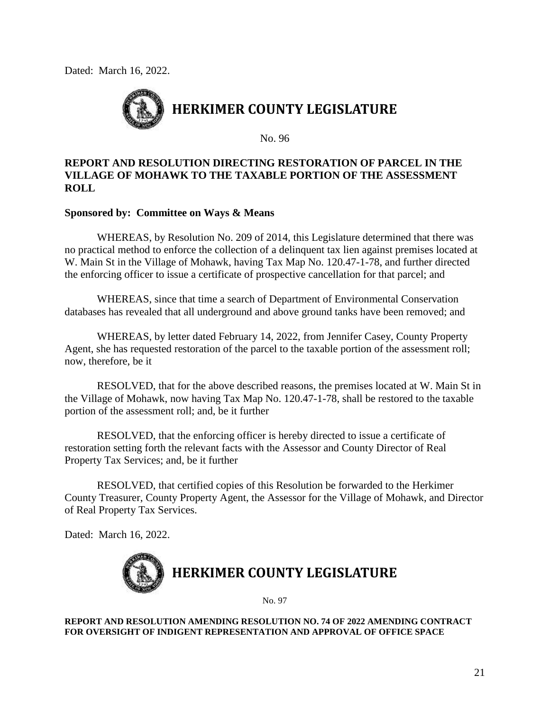Dated: March 16, 2022.



No. 96

# **REPORT AND RESOLUTION DIRECTING RESTORATION OF PARCEL IN THE VILLAGE OF MOHAWK TO THE TAXABLE PORTION OF THE ASSESSMENT ROLL**

#### **Sponsored by: Committee on Ways & Means**

WHEREAS, by Resolution No. 209 of 2014, this Legislature determined that there was no practical method to enforce the collection of a delinquent tax lien against premises located at W. Main St in the Village of Mohawk, having Tax Map No. 120.47-1-78, and further directed the enforcing officer to issue a certificate of prospective cancellation for that parcel; and

WHEREAS, since that time a search of Department of Environmental Conservation databases has revealed that all underground and above ground tanks have been removed; and

WHEREAS, by letter dated February 14, 2022, from Jennifer Casey, County Property Agent, she has requested restoration of the parcel to the taxable portion of the assessment roll; now, therefore, be it

RESOLVED, that for the above described reasons, the premises located at W. Main St in the Village of Mohawk, now having Tax Map No. 120.47-1-78, shall be restored to the taxable portion of the assessment roll; and, be it further

RESOLVED, that the enforcing officer is hereby directed to issue a certificate of restoration setting forth the relevant facts with the Assessor and County Director of Real Property Tax Services; and, be it further

RESOLVED, that certified copies of this Resolution be forwarded to the Herkimer County Treasurer, County Property Agent, the Assessor for the Village of Mohawk, and Director of Real Property Tax Services.

Dated: March 16, 2022.



No. 97

#### **REPORT AND RESOLUTION AMENDING RESOLUTION NO. 74 OF 2022 AMENDING CONTRACT FOR OVERSIGHT OF INDIGENT REPRESENTATION AND APPROVAL OF OFFICE SPACE**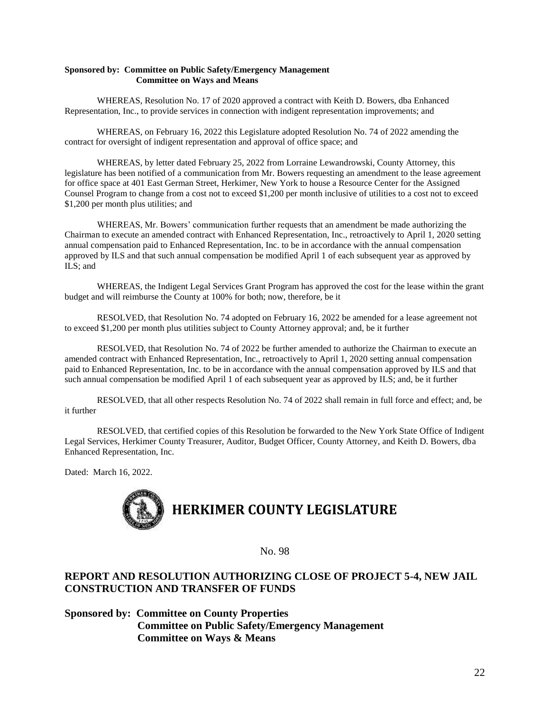#### **Sponsored by: Committee on Public Safety/Emergency Management Committee on Ways and Means**

WHEREAS, Resolution No. 17 of 2020 approved a contract with Keith D. Bowers, dba Enhanced Representation, Inc., to provide services in connection with indigent representation improvements; and

WHEREAS, on February 16, 2022 this Legislature adopted Resolution No. 74 of 2022 amending the contract for oversight of indigent representation and approval of office space; and

WHEREAS, by letter dated February 25, 2022 from Lorraine Lewandrowski, County Attorney, this legislature has been notified of a communication from Mr. Bowers requesting an amendment to the lease agreement for office space at 401 East German Street, Herkimer, New York to house a Resource Center for the Assigned Counsel Program to change from a cost not to exceed \$1,200 per month inclusive of utilities to a cost not to exceed \$1,200 per month plus utilities; and

WHEREAS, Mr. Bowers' communication further requests that an amendment be made authorizing the Chairman to execute an amended contract with Enhanced Representation, Inc., retroactively to April 1, 2020 setting annual compensation paid to Enhanced Representation, Inc. to be in accordance with the annual compensation approved by ILS and that such annual compensation be modified April 1 of each subsequent year as approved by ILS; and

WHEREAS, the Indigent Legal Services Grant Program has approved the cost for the lease within the grant budget and will reimburse the County at 100% for both; now, therefore, be it

RESOLVED, that Resolution No. 74 adopted on February 16, 2022 be amended for a lease agreement not to exceed \$1,200 per month plus utilities subject to County Attorney approval; and, be it further

RESOLVED, that Resolution No. 74 of 2022 be further amended to authorize the Chairman to execute an amended contract with Enhanced Representation, Inc., retroactively to April 1, 2020 setting annual compensation paid to Enhanced Representation, Inc. to be in accordance with the annual compensation approved by ILS and that such annual compensation be modified April 1 of each subsequent year as approved by ILS; and, be it further

RESOLVED, that all other respects Resolution No. 74 of 2022 shall remain in full force and effect; and, be it further

RESOLVED, that certified copies of this Resolution be forwarded to the New York State Office of Indigent Legal Services, Herkimer County Treasurer, Auditor, Budget Officer, County Attorney, and Keith D. Bowers, dba Enhanced Representation, Inc.

Dated: March 16, 2022.



# **HERKIMER COUNTY LEGISLATURE**

No. 98

### **REPORT AND RESOLUTION AUTHORIZING CLOSE OF PROJECT 5-4, NEW JAIL CONSTRUCTION AND TRANSFER OF FUNDS**

**Sponsored by: Committee on County Properties Committee on Public Safety/Emergency Management Committee on Ways & Means**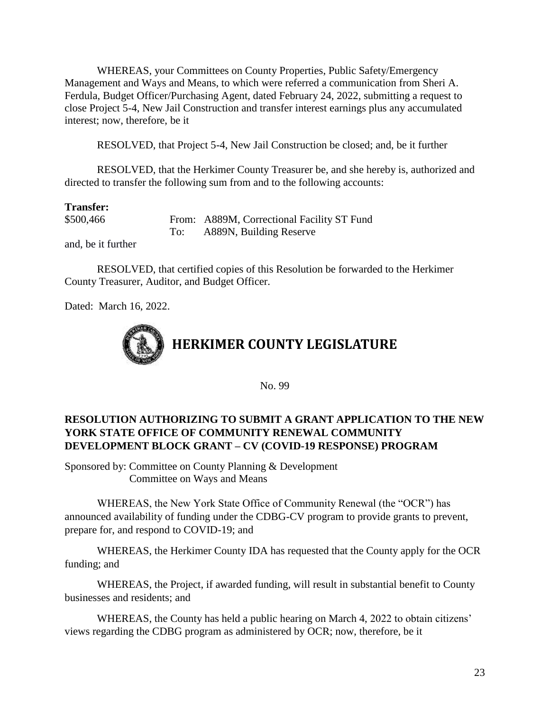WHEREAS, your Committees on County Properties, Public Safety/Emergency Management and Ways and Means, to which were referred a communication from Sheri A. Ferdula, Budget Officer/Purchasing Agent, dated February 24, 2022, submitting a request to close Project 5-4, New Jail Construction and transfer interest earnings plus any accumulated interest; now, therefore, be it

RESOLVED, that Project 5-4, New Jail Construction be closed; and, be it further

RESOLVED, that the Herkimer County Treasurer be, and she hereby is, authorized and directed to transfer the following sum from and to the following accounts:

### **Transfer:**

\$500,466 From: A889M, Correctional Facility ST Fund To: A889N, Building Reserve

and, be it further

RESOLVED, that certified copies of this Resolution be forwarded to the Herkimer County Treasurer, Auditor, and Budget Officer.

Dated: March 16, 2022.



No. 99

# **RESOLUTION AUTHORIZING TO SUBMIT A GRANT APPLICATION TO THE NEW YORK STATE OFFICE OF COMMUNITY RENEWAL COMMUNITY DEVELOPMENT BLOCK GRANT – CV (COVID-19 RESPONSE) PROGRAM**

Sponsored by: Committee on County Planning & Development Committee on Ways and Means

WHEREAS, the New York State Office of Community Renewal (the "OCR") has announced availability of funding under the CDBG-CV program to provide grants to prevent, prepare for, and respond to COVID-19; and

WHEREAS, the Herkimer County IDA has requested that the County apply for the OCR funding; and

WHEREAS, the Project, if awarded funding, will result in substantial benefit to County businesses and residents; and

WHEREAS, the County has held a public hearing on March 4, 2022 to obtain citizens' views regarding the CDBG program as administered by OCR; now, therefore, be it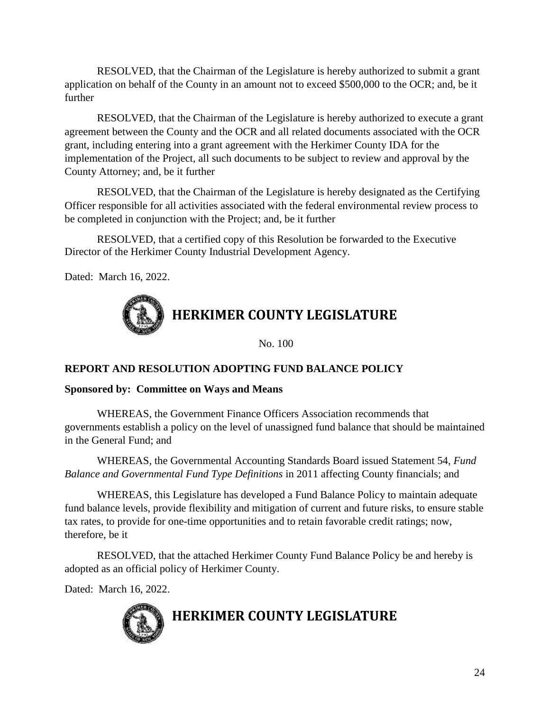RESOLVED, that the Chairman of the Legislature is hereby authorized to submit a grant application on behalf of the County in an amount not to exceed \$500,000 to the OCR; and, be it further

RESOLVED, that the Chairman of the Legislature is hereby authorized to execute a grant agreement between the County and the OCR and all related documents associated with the OCR grant, including entering into a grant agreement with the Herkimer County IDA for the implementation of the Project, all such documents to be subject to review and approval by the County Attorney; and, be it further

RESOLVED, that the Chairman of the Legislature is hereby designated as the Certifying Officer responsible for all activities associated with the federal environmental review process to be completed in conjunction with the Project; and, be it further

RESOLVED, that a certified copy of this Resolution be forwarded to the Executive Director of the Herkimer County Industrial Development Agency.

Dated: March 16, 2022.



No. 100

# **REPORT AND RESOLUTION ADOPTING FUND BALANCE POLICY**

# **Sponsored by: Committee on Ways and Means**

WHEREAS, the Government Finance Officers Association recommends that governments establish a policy on the level of unassigned fund balance that should be maintained in the General Fund; and

WHEREAS, the Governmental Accounting Standards Board issued Statement 54, *Fund Balance and Governmental Fund Type Definitions* in 2011 affecting County financials; and

WHEREAS, this Legislature has developed a Fund Balance Policy to maintain adequate fund balance levels, provide flexibility and mitigation of current and future risks, to ensure stable tax rates, to provide for one-time opportunities and to retain favorable credit ratings; now, therefore, be it

RESOLVED, that the attached Herkimer County Fund Balance Policy be and hereby is adopted as an official policy of Herkimer County.

Dated: March 16, 2022.



# **HERKIMER COUNTY LEGISLATURE**